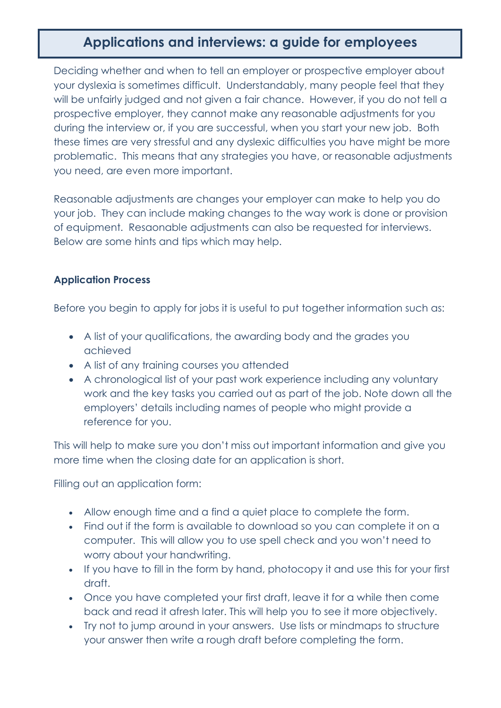# **Applications and interviews: a guide for employees**

Deciding whether and when to tell an employer or prospective employer about your dyslexia is sometimes difficult. Understandably, many people feel that they will be unfairly judged and not given a fair chance. However, if you do not tell a prospective employer, they cannot make any reasonable adjustments for you during the interview or, if you are successful, when you start your new job. Both these times are very stressful and any dyslexic difficulties you have might be more problematic. This means that any strategies you have, or reasonable adjustments you need, are even more important.

Reasonable adjustments are changes your employer can make to help you do your job. They can include making changes to the way work is done or provision of equipment. Resaonable adjustments can also be requested for interviews. Below are some hints and tips which may help.

## **Application Process**

Before you begin to apply for jobs it is useful to put together information such as:

- A list of your qualifications, the awarding body and the grades you achieved
- A list of any training courses you attended
- A chronological list of your past work experience including any voluntary work and the key tasks you carried out as part of the job. Note down all the employers' details including names of people who might provide a reference for you.

This will help to make sure you don't miss out important information and give you more time when the closing date for an application is short.

Filling out an application form:

- Allow enough time and a find a quiet place to complete the form.
- Find out if the form is available to download so you can complete it on a computer. This will allow you to use spell check and you won't need to worry about your handwriting.
- If you have to fill in the form by hand, photocopy it and use this for your first draft.
- Once you have completed your first draft, leave it for a while then come back and read it afresh later. This will help you to see it more objectively.
- Try not to jump around in your answers. Use lists or mindmaps to structure your answer then write a rough draft before completing the form.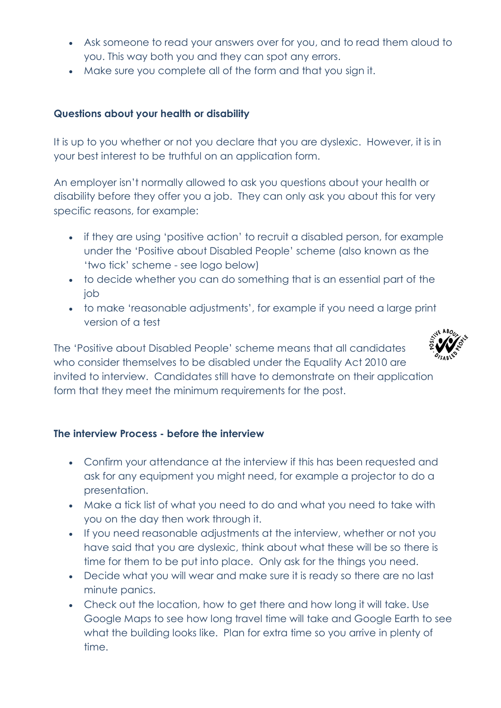- Ask someone to read your answers over for you, and to read them aloud to you. This way both you and they can spot any errors.
- Make sure you complete all of the form and that you sign it.

# **Questions about your health or disability**

It is up to you whether or not you declare that you are dyslexic. However, it is in your best interest to be truthful on an application form.

An employer isn't normally allowed to ask you questions about your health or disability before they offer you a job. They can only ask you about this for very specific reasons, for example:

- if they are using '[positive action](https://www.gov.uk/recruitment-disabled-people/encouraging-applications)' to recruit a disabled person, for example under the 'Positive about Disabled People' scheme (also known as the 'two tick' scheme - see logo below)
- to decide whether you can do something that is an essential part of the job
- to make 'reasonable adjustments', for example if you need a large print version of a test

The 'Positive about Disabled People' scheme means that all candidates who consider themselves to be disabled under the Equality Act 2010 are invited to interview. Candidates still have to demonstrate on their application form that they meet the minimum requirements for the post.

## **The interview Process - before the interview**

- Confirm your attendance at the interview if this has been requested and ask for any equipment you might need, for example a projector to do a presentation.
- Make a tick list of what you need to do and what you need to take with you on the day then work through it.
- If you need reasonable adjustments at the interview, whether or not you have said that you are dyslexic, think about what these will be so there is time for them to be put into place. Only ask for the things you need.
- Decide what you will wear and make sure it is ready so there are no last minute panics.
- Check out the location, how to get there and how long it will take. Use Google Maps to see how long travel time will take and Google Earth to see what the building looks like. Plan for extra time so you arrive in plenty of time.

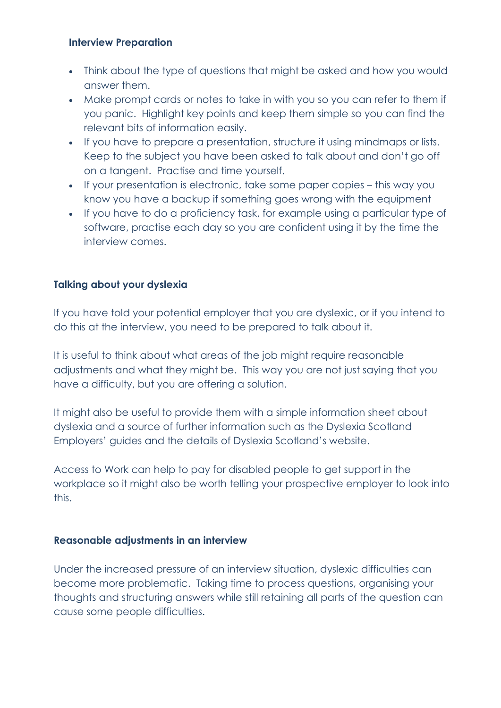#### **Interview Preparation**

- Think about the type of questions that might be asked and how you would answer them.
- Make prompt cards or notes to take in with you so you can refer to them if you panic. Highlight key points and keep them simple so you can find the relevant bits of information easily.
- If you have to prepare a presentation, structure it using mindmaps or lists. Keep to the subject you have been asked to talk about and don't go off on a tangent. Practise and time yourself.
- If your presentation is electronic, take some paper copies this way you know you have a backup if something goes wrong with the equipment
- If you have to do a proficiency task, for example using a particular type of software, practise each day so you are confident using it by the time the interview comes.

## **Talking about your dyslexia**

If you have told your potential employer that you are dyslexic, or if you intend to do this at the interview, you need to be prepared to talk about it.

It is useful to think about what areas of the job might require reasonable adjustments and what they might be. This way you are not just saying that you have a difficulty, but you are offering a solution.

It might also be useful to provide them with a simple information sheet about dyslexia and a source of further information such as the Dyslexia Scotland Employers' guides and the details of Dyslexia Scotland's website.

Access to Work can help to pay for disabled people to get support in the workplace so it might also be worth telling your prospective employer to look into this.

#### **Reasonable adjustments in an interview**

Under the increased pressure of an interview situation, dyslexic difficulties can become more problematic. Taking time to process questions, organising your thoughts and structuring answers while still retaining all parts of the question can cause some people difficulties.